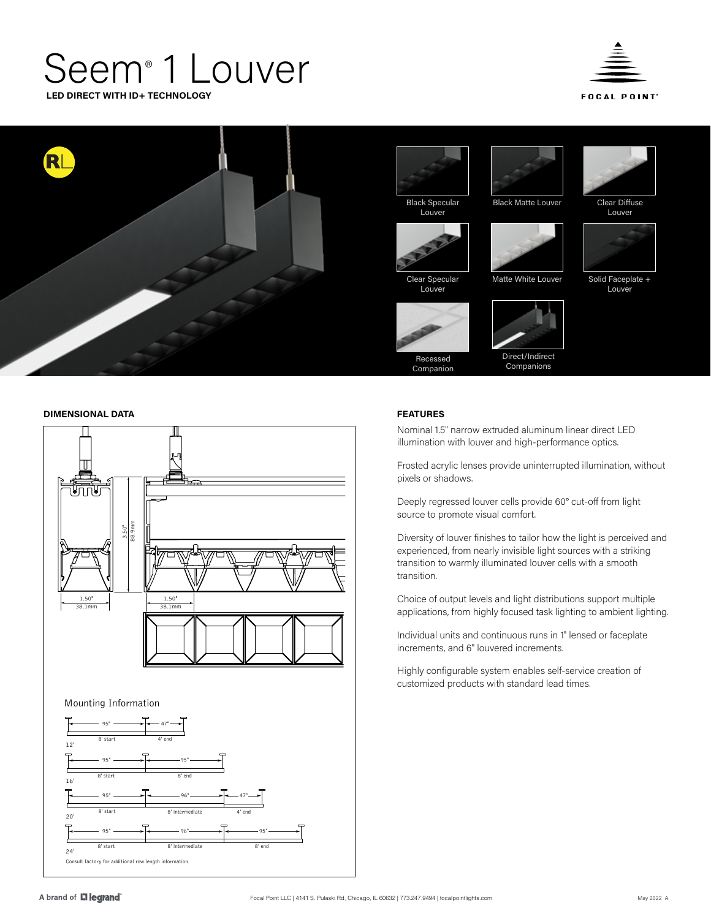# Seem® 1 Louver

**LED DIRECT WITH ID+ TECHNOLOGY**











Direct/Indirect Companions



**Black Matte Louver** Clear Diffuse Louver



Solid Faceplate + Louver

# **DIMENSIONAL DATA FEATURES**



# Mounting Information



Nominal 1.5" narrow extruded aluminum linear direct LED illumination with louver and high-performance optics.

Frosted acrylic lenses provide uninterrupted illumination, without pixels or shadows.

Deeply regressed louver cells provide 60° cut-off from light source to promote visual comfort.

Diversity of louver finishes to tailor how the light is perceived and experienced, from nearly invisible light sources with a striking transition to warmly illuminated louver cells with a smooth transition.

Choice of output levels and light distributions support multiple applications, from highly focused task lighting to ambient lighting.

Individual units and continuous runs in 1" lensed or faceplate increments, and 6" louvered increments.

Highly configurable system enables self-service creation of customized products with standard lead times.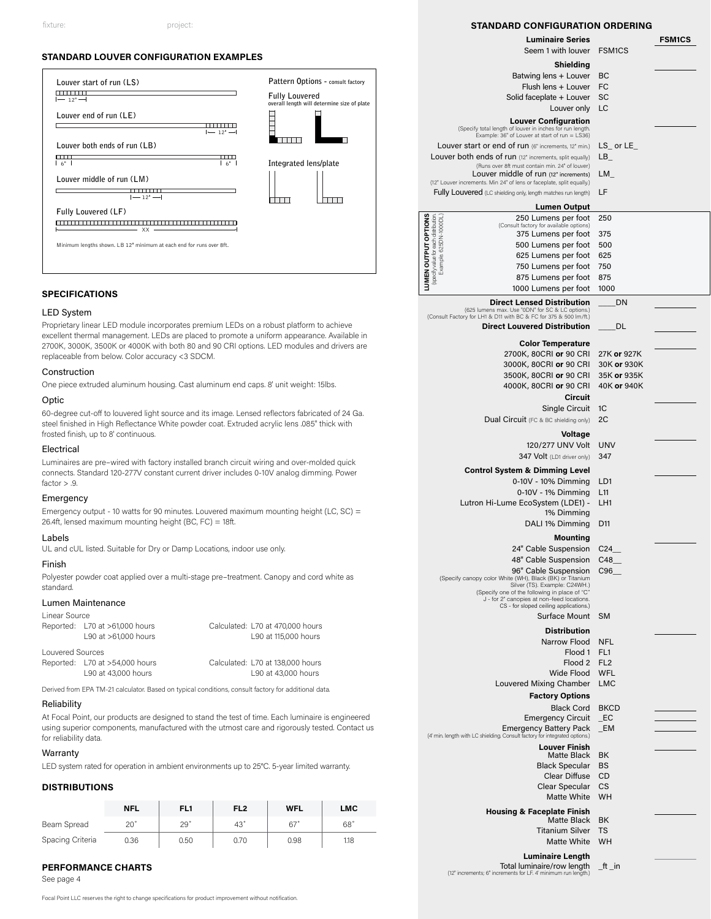| tixture: |  |  |  |
|----------|--|--|--|
|          |  |  |  |

# **STANDARD LOUVER CONFIGURATION EXAMPLES**

| Louver start of run (LS)                                             | Pattern Options - consult factory                                  |
|----------------------------------------------------------------------|--------------------------------------------------------------------|
| $-12$ <sup>-</sup>                                                   | <b>Fully Louvered</b><br>overall length will determine size of pla |
| Louver end of run (LE)                                               |                                                                    |
| $-12 -$                                                              |                                                                    |
| Louver both ends of run (LB)                                         |                                                                    |
| ╥<br>16"<br>6"                                                       | Integrated lens/plate                                              |
| Louver middle of run (LM)                                            |                                                                    |
| $-12$ $-1$                                                           |                                                                    |
| Fully Louvered (LF)                                                  |                                                                    |
| <b>XX</b>                                                            |                                                                    |
| Minimum lengths shown. LB 12" minimum at each end for runs over 8ft. |                                                                    |

plat

**SPECIFICATIONS**

#### LED System

Proprietary linear LED module incorporates premium LEDs on a robust platform to achieve excellent thermal management. LEDs are placed to promote a uniform appearance. Available in 2700K, 3000K, 3500K or 4000K with both 80 and 90 CRI options. LED modules and drivers are replaceable from below. Color accuracy <3 SDCM.

#### Construction

One piece extruded aluminum housing. Cast aluminum end caps. 8' unit weight: 15lbs.

# Optic

60-degree cut-off to louvered light source and its image. Lensed reflectors fabricated of 24 Ga. steel finished in High Reflectance White powder coat. Extruded acrylic lens .085" thick with frosted finish, up to 8' continuous.

#### Electrical

Luminaires are pre–wired with factory installed branch circuit wiring and over-molded quick connects. Standard 120-277V constant current driver includes 0-10V analog dimming. Power  $factor > .9$ .

#### Emergency

Emergency output - 10 watts for 90 minutes. Louvered maximum mounting height (LC, SC) = 26.4ft, lensed maximum mounting height (BC, FC) = 18ft.

# Labels

UL and cUL listed. Suitable for Dry or Damp Locations, indoor use only.

# Finish

Polyester powder coat applied over a multi-stage pre–treatment. Canopy and cord white as standard.

# Lumen Maintenance

| Linear Source    |                                |                                  |
|------------------|--------------------------------|----------------------------------|
|                  | Reported: L70 at >61,000 hours | Calculated: L70 at 470,000 hours |
|                  | L90 at >61,000 hours           | L90 at 115,000 hours             |
| Louvered Sources |                                |                                  |
|                  | Reported: L70 at >54,000 hours | Calculated: L70 at 138,000 hours |
|                  | L90 at 43,000 hours            | L90 at 43,000 hours              |

Derived from EPA TM-21 calculator. Based on typical conditions, consult factory for additional data.

#### Reliability

At Focal Point, our products are designed to stand the test of time. Each luminaire is engineered using superior components, manufactured with the utmost care and rigorously tested. Contact us for reliability data.

# Warranty

LED system rated for operation in ambient environments up to 25°C. 5-year limited warranty.

# **DISTRIBUTIONS**

|                  | <b>NFL</b> | FL1  | FL <sub>2</sub> | <b>WFL</b> | <b>LMC</b> |
|------------------|------------|------|-----------------|------------|------------|
| Beam Spread      | 20°        | 29°  | $43^\circ$      | 67         | 68°        |
| Spacing Criteria | 0.36       | 0.50 | 0.70            | 0.98       | 1.18       |

# **PERFORMANCE CHARTS**

See page 4

| <b>Luminaire Series</b>                                                                                                                   | STANDARD CONFIGURATION ORDERING |               |
|-------------------------------------------------------------------------------------------------------------------------------------------|---------------------------------|---------------|
|                                                                                                                                           |                                 | <b>FSM1CS</b> |
| Seem 1 with louver                                                                                                                        | <b>FSM1CS</b>                   |               |
|                                                                                                                                           |                                 |               |
| Shielding                                                                                                                                 |                                 |               |
| Batwing lens + Louver                                                                                                                     | BC                              |               |
| Flush lens + Louver                                                                                                                       | FC                              |               |
| Solid faceplate + Louver                                                                                                                  | SC                              |               |
| Louver only                                                                                                                               | LC                              |               |
| <b>Louver Configuration</b>                                                                                                               |                                 |               |
| (Specify total length of louver in inches for run length.                                                                                 |                                 |               |
| Example: 36" of Louver at start of run = LS36)                                                                                            |                                 |               |
| Louver start or end of run (6" increments, 12" min.)                                                                                      | $LS_{-}$ or $LE_{-}$            |               |
| Louver both ends of run (12" increments, split equally)                                                                                   | LB                              |               |
| (Runs over 8ft must contain min. 24" of louver)                                                                                           |                                 |               |
| Louver middle of run (12" increments)                                                                                                     | LM                              |               |
| (12" Louver increments. Min 24" of lens or faceplate, split equally.)                                                                     |                                 |               |
| Fully Louvered (LC shielding only, length matches run length)                                                                             | LF                              |               |
| Lumen Output                                                                                                                              |                                 |               |
| 250 Lumens per foot                                                                                                                       | 250                             |               |
| <b>LUMEN OUTPUT OPTIONS</b><br>(specify value for each distribution)<br>Example. 625DN-1000DL)<br>(Consult factory for available options) |                                 |               |
| 375 Lumens per foot                                                                                                                       | 375                             |               |
| 500 Lumens per foot                                                                                                                       | 500                             |               |
| 625 Lumens per foot                                                                                                                       | 625                             |               |
| 750 Lumens per foot                                                                                                                       | 750                             |               |
| 875 Lumens per foot                                                                                                                       | 875                             |               |
|                                                                                                                                           |                                 |               |
| 1000 Lumens per foot                                                                                                                      | 1000                            |               |
| <b>Direct Lensed Distribution</b>                                                                                                         | DN                              |               |
| (625 lumens max. Use "0DN" for SC & LC options.)                                                                                          |                                 |               |
| (Consult Factory for LH1 & D11 with BC & FC for 375 & 500 lm/ft.)                                                                         |                                 |               |
| <b>Direct Louvered Distribution</b>                                                                                                       | DL.                             |               |
| <b>Color Temperature</b>                                                                                                                  |                                 |               |
|                                                                                                                                           | 27K or 927K                     |               |
| 2700K, 80CRI or 90 CRI                                                                                                                    |                                 |               |
| 3000K, 80CRI or 90 CRI                                                                                                                    | 30K or 930K                     |               |
| 3500K, 80CRI or 90 CRI                                                                                                                    | 35K or 935K                     |               |
| 4000K, 80CRI or 90 CRI                                                                                                                    | 40K or 940K                     |               |
| Circuit                                                                                                                                   |                                 |               |
| Single Circuit                                                                                                                            | 1C                              |               |
| Dual Circuit (FC & BC shielding only)                                                                                                     | 2C                              |               |
|                                                                                                                                           |                                 |               |
| <b>Voltage</b>                                                                                                                            |                                 |               |
| 120/277 UNV Volt                                                                                                                          | UNV                             |               |
| 347 Volt (LD1 driver only)                                                                                                                | 347                             |               |
| <b>Control System &amp; Dimming Level</b>                                                                                                 |                                 |               |
|                                                                                                                                           |                                 |               |
| 0-10V - 10% Dimming                                                                                                                       | LD <sub>1</sub>                 |               |
| 0-10V - 1% Dimming                                                                                                                        | L11                             |               |
| Lutron Hi-Lume EcoSystem (LDE1) -                                                                                                         | LH1                             |               |
| 1% Dimming                                                                                                                                |                                 |               |
| DALI 1% Dimming                                                                                                                           | D11                             |               |
| Mounting                                                                                                                                  |                                 |               |
|                                                                                                                                           | C24                             |               |
| 24" Cable Suspension                                                                                                                      |                                 |               |
|                                                                                                                                           |                                 |               |
| 48" Cable Suspension                                                                                                                      | C48                             |               |
| 96" Cable Suspension                                                                                                                      | C96                             |               |
| (Specify canopy color White (WH), Black (BK) or Titanium                                                                                  |                                 |               |
| Silver (TS). Example: C24WH.)<br>(Specify one of the following in place of "C"                                                            |                                 |               |
| J - for 2" canopies at non-feed locations.                                                                                                |                                 |               |
| CS - for sloped ceiling applications.)                                                                                                    |                                 |               |
| Surface Mount                                                                                                                             | SM                              |               |
| <b>Distribution</b>                                                                                                                       |                                 |               |
| Narrow Flood                                                                                                                              | NFL                             |               |
| Flood 1                                                                                                                                   | FL <sub>1</sub>                 |               |
|                                                                                                                                           |                                 |               |
| Flood <sub>2</sub>                                                                                                                        | FL <sub>2</sub>                 |               |
| Wide Flood                                                                                                                                | WFL                             |               |
| Louvered Mixing Chamber                                                                                                                   | LMC                             |               |
| <b>Factory Options</b>                                                                                                                    |                                 |               |
| <b>Black Cord</b>                                                                                                                         | <b>BKCD</b>                     |               |
| <b>Emergency Circuit</b>                                                                                                                  | EC                              |               |
| <b>Emergency Battery Pack</b>                                                                                                             | EM                              |               |
| (4' min. length with LC shielding. Consult factory for integrated options.)                                                               |                                 |               |
| Louver Finish                                                                                                                             |                                 |               |
| Matte Black                                                                                                                               | ВK                              |               |
| <b>Black Specular</b>                                                                                                                     | BS                              |               |
| Clear Diffuse                                                                                                                             | CD                              |               |
| Clear Specular                                                                                                                            | <b>CS</b>                       |               |
| <b>Matte White</b>                                                                                                                        | WH                              |               |
|                                                                                                                                           |                                 |               |
| <b>Housing &amp; Faceplate Finish</b><br><b>Matte Black</b>                                                                               | BK                              |               |
|                                                                                                                                           |                                 |               |
| Titanium Silver                                                                                                                           | <b>TS</b>                       |               |
| <b>Matte White</b>                                                                                                                        | WH                              |               |
| <b>Luminaire Length</b>                                                                                                                   |                                 |               |
| Total luminaire/row length<br>(12" increments; 6" increments for LF. 4' minimum run length.)                                              | _ft _in                         |               |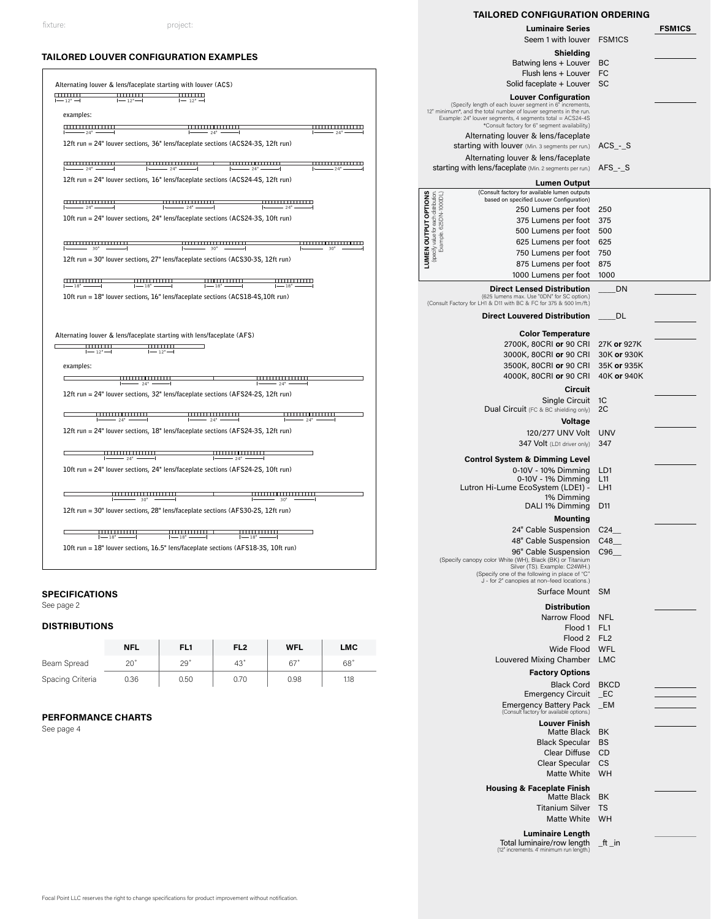|                          |                                              |                                                         |                                                                                                                                                                                                                                                          | <b>TAILORED CONFIGURATION ORDERING</b> |                                                                                                |                                                                                                                                                                                                                                                                             |                   |               |
|--------------------------|----------------------------------------------|---------------------------------------------------------|----------------------------------------------------------------------------------------------------------------------------------------------------------------------------------------------------------------------------------------------------------|----------------------------------------|------------------------------------------------------------------------------------------------|-----------------------------------------------------------------------------------------------------------------------------------------------------------------------------------------------------------------------------------------------------------------------------|-------------------|---------------|
|                          | project:                                     |                                                         |                                                                                                                                                                                                                                                          |                                        |                                                                                                | <b>Luminaire Series</b><br>Seem 1 with louver FSM1CS                                                                                                                                                                                                                        |                   | <b>FSM1CS</b> |
|                          | <b>NFIGURATION EXAMPLES</b>                  |                                                         |                                                                                                                                                                                                                                                          |                                        |                                                                                                | Shielding<br>Batwing lens + Louver<br>Flush lens + Louver                                                                                                                                                                                                                   | BC<br>FC          |               |
|                          | plate starting with louver (ACS)             |                                                         |                                                                                                                                                                                                                                                          |                                        |                                                                                                | Solid faceplate + Louver                                                                                                                                                                                                                                                    | - SC              |               |
|                          | ,,,,,,,,,,<br>$-12 -$<br>.                   |                                                         |                                                                                                                                                                                                                                                          |                                        |                                                                                                | <b>Louver Configuration</b><br>(Specify length of each louver segment in 6" increments,<br>12" minimum*, and the total number of louver segments in the run.<br>Example: 24" louver segments, 4 segments total = ACS24-4S<br>*Consult factory for 6" segment availability.) |                   |               |
|                          | 24"                                          | ons, 36" lens/faceplate sections (ACS24-3S, 12ft run)   |                                                                                                                                                                                                                                                          | - 24"                                  |                                                                                                | Alternating louver & lens/faceplate<br>starting with louver (Min. 3 segments per run.)                                                                                                                                                                                      | $ACS - S$         |               |
|                          | -----------------<br>-24'                    | ,,,,,,,,,,,,,,,,,<br>-24'                               |                                                                                                                                                                                                                                                          | --------------<br>- 24'                |                                                                                                | Alternating louver & lens/faceplate<br>starting with lens/faceplate (Min. 2 segments per run.)                                                                                                                                                                              | AFS_-_S           |               |
|                          |                                              | ons, 16" lens/faceplate sections (ACS24-4S, 12ft run)   |                                                                                                                                                                                                                                                          |                                        |                                                                                                | <b>Lumen Output</b>                                                                                                                                                                                                                                                         |                   |               |
|                          |                                              |                                                         |                                                                                                                                                                                                                                                          |                                        |                                                                                                | (Consult factory for available lumen outputs<br>based on specified Louver Configuration)                                                                                                                                                                                    |                   |               |
|                          | ,,,,,,,,,,,,,,,,,,,,<br>- 24"                |                                                         | <b><i><u> 1989 - 1989 - 1989 - 1989 - 1989 - 1989 - 1989 - 1989 - 1989 - 1989 - 1989 - 1989 - 1989 - 1989 - 1989 - 1989 - 1989 - 1989 - 1989 - 1989 - 1989 - 1989 - 1989 - 1989 - 1989 - 1989 - 1989 - 1989 - 1989 - 1989 - 1989 - 1</u></i></b><br>-24" |                                        | <b>LUMEN OUTPUT OPTIONS</b><br>(specify value for each distribution)<br>Example. 625DN-1000DL) | 250 Lumens per foot                                                                                                                                                                                                                                                         | 250               |               |
|                          |                                              | ons, 24" lens/faceplate sections (ACS24-3S, 10ft run)   |                                                                                                                                                                                                                                                          |                                        |                                                                                                | 375 Lumens per foot                                                                                                                                                                                                                                                         | 375               |               |
|                          |                                              |                                                         |                                                                                                                                                                                                                                                          |                                        |                                                                                                | 500 Lumens per foot                                                                                                                                                                                                                                                         | 500               |               |
|                          | ,,,,,,,,,,,,,,,,,,,,,<br>30"                 |                                                         |                                                                                                                                                                                                                                                          | ,,,,,,,,,,,,,,,,,,,,,<br>30"           |                                                                                                | 625 Lumens per foot                                                                                                                                                                                                                                                         | 625               |               |
|                          |                                              | ons, 27" lens/faceplate sections (ACS30-3S, 12ft run)   |                                                                                                                                                                                                                                                          |                                        |                                                                                                | 750 Lumens per foot                                                                                                                                                                                                                                                         | 750               |               |
|                          |                                              |                                                         |                                                                                                                                                                                                                                                          |                                        |                                                                                                | 875 Lumens per foot                                                                                                                                                                                                                                                         | 875               |               |
| $-18"$ $-$               | $1 - 18$                                     | __________                                              | .<br>$-18"$                                                                                                                                                                                                                                              |                                        |                                                                                                | 1000 Lumens per foot                                                                                                                                                                                                                                                        | 1000              |               |
|                          |                                              | ons, 16" lens/faceplate sections (ACS18-4S,10ft run)    |                                                                                                                                                                                                                                                          |                                        |                                                                                                | <b>Direct Lensed Distribution</b><br>(625 lumens max. Use "0DN" for SC option.)                                                                                                                                                                                             | DN                |               |
|                          |                                              |                                                         |                                                                                                                                                                                                                                                          |                                        |                                                                                                | (Consult Factory for LH1 & D11 with BC & FC for 375 & 500 lm/ft.)                                                                                                                                                                                                           |                   |               |
|                          |                                              |                                                         |                                                                                                                                                                                                                                                          |                                        |                                                                                                | <b>Direct Louvered Distribution</b>                                                                                                                                                                                                                                         | DL                |               |
|                          | plate starting with lens/faceplate (AFS)     |                                                         |                                                                                                                                                                                                                                                          |                                        |                                                                                                | <b>Color Temperature</b>                                                                                                                                                                                                                                                    |                   |               |
| <b>THE REAL PROPERTY</b> |                                              |                                                         |                                                                                                                                                                                                                                                          |                                        |                                                                                                | 2700K, 80CRI or 90 CRI                                                                                                                                                                                                                                                      | 27K or 927K       |               |
| $-12 -$                  |                                              |                                                         |                                                                                                                                                                                                                                                          |                                        |                                                                                                | 3000K, 80CRI or 90 CRI                                                                                                                                                                                                                                                      | 30K or 930K       |               |
|                          |                                              |                                                         |                                                                                                                                                                                                                                                          |                                        |                                                                                                | 3500K, 80CRI or 90 CRI                                                                                                                                                                                                                                                      | 35K or 935K       |               |
| 24"                      |                                              |                                                         | .<br>24"                                                                                                                                                                                                                                                 |                                        |                                                                                                | 4000K, 80CRI or 90 CRI                                                                                                                                                                                                                                                      | 40K or 940K       |               |
|                          |                                              | ons, 32" lens/faceplate sections (AFS24-2S, 12ft run)   |                                                                                                                                                                                                                                                          |                                        |                                                                                                | Circuit                                                                                                                                                                                                                                                                     |                   |               |
|                          |                                              |                                                         |                                                                                                                                                                                                                                                          |                                        |                                                                                                | Single Circuit                                                                                                                                                                                                                                                              | 1C                |               |
| щ                        | ,,,,,,,,,,,,,,,,,,,<br>24'                   |                                                         | --------------                                                                                                                                                                                                                                           |                                        |                                                                                                | Dual Circuit (FC & BC shielding only)                                                                                                                                                                                                                                       | 2C                |               |
|                          |                                              | ons, 18" lens/faceplate sections (AFS24-3S, 12ft run)   |                                                                                                                                                                                                                                                          |                                        |                                                                                                | <b>Voltage</b>                                                                                                                                                                                                                                                              |                   |               |
|                          |                                              |                                                         |                                                                                                                                                                                                                                                          |                                        |                                                                                                | 120/277 UNV Volt<br>347 Volt (LD1 driver only)                                                                                                                                                                                                                              | UNV<br>347        |               |
| Ш                        |                                              |                                                         |                                                                                                                                                                                                                                                          |                                        |                                                                                                |                                                                                                                                                                                                                                                                             |                   |               |
|                          |                                              | - 24"                                                   |                                                                                                                                                                                                                                                          |                                        |                                                                                                | <b>Control System &amp; Dimming Level</b>                                                                                                                                                                                                                                   |                   |               |
|                          |                                              | ons, 24" lens/faceplate sections (AFS24-2S, 10ft run)   |                                                                                                                                                                                                                                                          |                                        |                                                                                                | 0-10V - 10% Dimming<br>0-10V - 1% Dimming                                                                                                                                                                                                                                   | LD1<br>L11        |               |
|                          |                                              |                                                         |                                                                                                                                                                                                                                                          |                                        |                                                                                                | Lutron Hi-Lume EcoSystem (LDE1) -                                                                                                                                                                                                                                           | LH <sub>1</sub>   |               |
| ,,,,,,,,,,,,<br>30"      |                                              |                                                         | ,,,,,,,,,,,,,,,,,,,,,<br>30°                                                                                                                                                                                                                             |                                        |                                                                                                | 1% Dimming                                                                                                                                                                                                                                                                  |                   |               |
|                          |                                              | ons, 28" lens/faceplate sections (AFS30-2S, 12ft run)   |                                                                                                                                                                                                                                                          |                                        |                                                                                                | DALI 1% Dimming                                                                                                                                                                                                                                                             | D <sub>11</sub>   |               |
|                          |                                              |                                                         |                                                                                                                                                                                                                                                          |                                        |                                                                                                | <b>Mounting</b>                                                                                                                                                                                                                                                             |                   |               |
|                          | <u> 1988 - 1988 - 1988 - 19</u><br>$1 - 18"$ | ,,,,,,,,,,,,,,<br>$1 - 18$                              |                                                                                                                                                                                                                                                          |                                        |                                                                                                | 24" Cable Suspension                                                                                                                                                                                                                                                        | C <sub>24</sub>   |               |
|                          |                                              | ons, 16.5" lens/faceplate sections (AFS18-3S, 10ft run) |                                                                                                                                                                                                                                                          |                                        |                                                                                                | 48" Cable Suspension                                                                                                                                                                                                                                                        | C48               |               |
|                          |                                              |                                                         |                                                                                                                                                                                                                                                          |                                        |                                                                                                | 96" Cable Suspension<br>(Specify canopy color White (WH), Black (BK) or Titanium                                                                                                                                                                                            | C96               |               |
|                          |                                              |                                                         |                                                                                                                                                                                                                                                          |                                        |                                                                                                | Silver (TS). Example: C24WH.)<br>(Specify one of the following in place of "C"                                                                                                                                                                                              |                   |               |
|                          |                                              |                                                         |                                                                                                                                                                                                                                                          |                                        |                                                                                                | J - for 2" canopies at non-feed locations.)                                                                                                                                                                                                                                 |                   |               |
|                          |                                              |                                                         |                                                                                                                                                                                                                                                          |                                        |                                                                                                | Surface Mount                                                                                                                                                                                                                                                               | - SM              |               |
|                          |                                              |                                                         |                                                                                                                                                                                                                                                          |                                        |                                                                                                | <b>Distribution</b>                                                                                                                                                                                                                                                         |                   |               |
|                          |                                              |                                                         |                                                                                                                                                                                                                                                          |                                        |                                                                                                | Narrow Flood<br>Flood 1                                                                                                                                                                                                                                                     | <b>NFL</b><br>FL1 |               |
|                          |                                              |                                                         |                                                                                                                                                                                                                                                          |                                        |                                                                                                | Flood 2                                                                                                                                                                                                                                                                     | FL <sub>2</sub>   |               |
|                          | FL1                                          | FL <sub>2</sub>                                         | <b>WFL</b>                                                                                                                                                                                                                                               | LMC                                    |                                                                                                | Wide Flood                                                                                                                                                                                                                                                                  | WFL               |               |
|                          | 29°                                          | $43^\circ$                                              | $67^\circ$                                                                                                                                                                                                                                               | 68°                                    |                                                                                                | Louvered Mixing Chamber                                                                                                                                                                                                                                                     | LMC               |               |
|                          |                                              |                                                         |                                                                                                                                                                                                                                                          |                                        |                                                                                                | <b>Factory Options</b>                                                                                                                                                                                                                                                      |                   |               |
|                          | 0.50                                         | 0.70                                                    | 0.98                                                                                                                                                                                                                                                     | 1.18                                   |                                                                                                | <b>Black Cord</b>                                                                                                                                                                                                                                                           | <b>BKCD</b>       |               |
|                          |                                              |                                                         |                                                                                                                                                                                                                                                          |                                        |                                                                                                | <b>Emergency Circuit</b>                                                                                                                                                                                                                                                    | $\_EC$            |               |
|                          |                                              |                                                         |                                                                                                                                                                                                                                                          |                                        |                                                                                                | <b>Emergency Battery Pack</b>                                                                                                                                                                                                                                               | $\_EM$            |               |
| ΤS                       |                                              |                                                         |                                                                                                                                                                                                                                                          |                                        |                                                                                                | (Consult factory for available options.)                                                                                                                                                                                                                                    |                   |               |
|                          |                                              |                                                         |                                                                                                                                                                                                                                                          |                                        |                                                                                                | <b>Louver Finish</b><br>Matte Black BK                                                                                                                                                                                                                                      |                   |               |
|                          |                                              |                                                         |                                                                                                                                                                                                                                                          |                                        |                                                                                                | <b>Black Specular</b>                                                                                                                                                                                                                                                       | <b>BS</b>         |               |
|                          |                                              |                                                         |                                                                                                                                                                                                                                                          |                                        |                                                                                                |                                                                                                                                                                                                                                                                             |                   |               |

- 
- Clear Diffuse CD
- Clear Specular CS
- Matte White WH

# **Housing & Faceplate Finish** Matte Black BK

- 
- Titanium Silver TS
- Matte White WH
- **Luminaire Length**
- Total luminaire/row length \_\_ft \_in<br>(12" increments. 4' minimum run length.)

# **TAILORED LOUVER CO**

| 12"                       | 11 11 11 11 11                 | 11 11 11 11 1<br>$-12 -$                                                         |
|---------------------------|--------------------------------|----------------------------------------------------------------------------------|
|                           |                                |                                                                                  |
| examples:                 |                                |                                                                                  |
| --------------<br>$-24"$  |                                | <u> 1989 - Jan James Barnett, mars e</u><br>,,,,,,,,,,,,,,,,,<br>24"             |
|                           |                                | 12ft run = 24" louver sections, 36" lens/faceplate sections (ACS24-3S, 12ft run) |
|                           |                                |                                                                                  |
| ,,,,,,,,,,,,,,,,,         |                                | ,,,,,,,,,,,,,,,,,,<br>,,,,,,,,,,,,,,,,,,<br>___________                          |
| 24"                       |                                | 24<br>24"                                                                        |
|                           |                                | 12ft run = 24" louver sections, 16" lens/faceplate sections (ACS24-4S, 12ft run) |
|                           |                                |                                                                                  |
| --------------<br>24"     |                                | .<br>.<br>24<br>24'                                                              |
|                           |                                | 10ft run = 24" louver sections, 24" lens/faceplate sections (ACS24-3S, 10ft run) |
|                           |                                |                                                                                  |
|                           |                                |                                                                                  |
| ------------------<br>30" |                                | ,,,,,,,,,,,,,,,,,,,,,<br>30'<br>30'                                              |
|                           |                                | 12ft run = 30" louver sections, 27" lens/faceplate sections (ACS30-3S, 12ft run) |
|                           |                                |                                                                                  |
| ---------                 | .                              | .<br>.                                                                           |
| - 18*                     | - 18'                          | - 18*<br>- 18'                                                                   |
|                           |                                |                                                                                  |
|                           |                                | 10ft run = 18" louver sections, 16" lens/faceplate sections (ACS18-4S,10ft run)  |
|                           |                                |                                                                                  |
|                           |                                |                                                                                  |
|                           |                                |                                                                                  |
|                           |                                | Alternating louver & lens/faceplate starting with lens/faceplate (AFS)           |
| <u> 1111 1111 111</u>     | <b>111111111111111</b>         |                                                                                  |
| $-12$ <sup>*</sup>        | $-12"$ $-1$                    |                                                                                  |
|                           |                                |                                                                                  |
|                           | ,,,,,,,,,,,,,,,,,,,,,          | ,,,,,,,,,,,,,,,,,,,,                                                             |
|                           | 24"                            | .24"                                                                             |
|                           |                                | 12ft run = 24" louver sections, 32" lens/faceplate sections (AFS24-2S, 12ft run) |
|                           |                                |                                                                                  |
| Ŀ                         | ,,,,,,,,,,,,,,,,,,<br>$-24"$   | ,,,,,,,,,,,,,,,,,,,<br>-------------<br>24"<br>$\mathbf{I}$<br>24"               |
|                           |                                |                                                                                  |
|                           |                                | 12ft run = 24" louver sections, 18" lens/faceplate sections (AFS24-3S, 12ft run) |
|                           |                                |                                                                                  |
|                           | 24"                            | <u>in die staat van die kommensee</u><br>24"                                     |
|                           |                                | 10ft run = 24" louver sections, 24" lens/faceplate sections (AFS24-2S, 10ft run) |
|                           |                                |                                                                                  |
|                           |                                |                                                                                  |
|                           | ,,,,,,,,,,,,,,,,,,,,,,,<br>30' | 30                                                                               |
|                           |                                | 12ft run = 30" louver sections, 28" lens/faceplate sections (AFS30-2S, 12ft run) |
| examples:                 |                                |                                                                                  |

# **SPECIFICATIONS**

See page 2

# **DISTRIBUTIONS**

|                  | NFL  | FL1  | FL <sub>2</sub> | <b>WFL</b> | LMC  |
|------------------|------|------|-----------------|------------|------|
| Beam Spread      | 20°  | 29°  | $43^\circ$      | 67°        | 68°  |
| Spacing Criteria | 0.36 | 0.50 | 0.70            | 0.98       | 1.18 |

# **PERFORMANCE CHART**

See page 4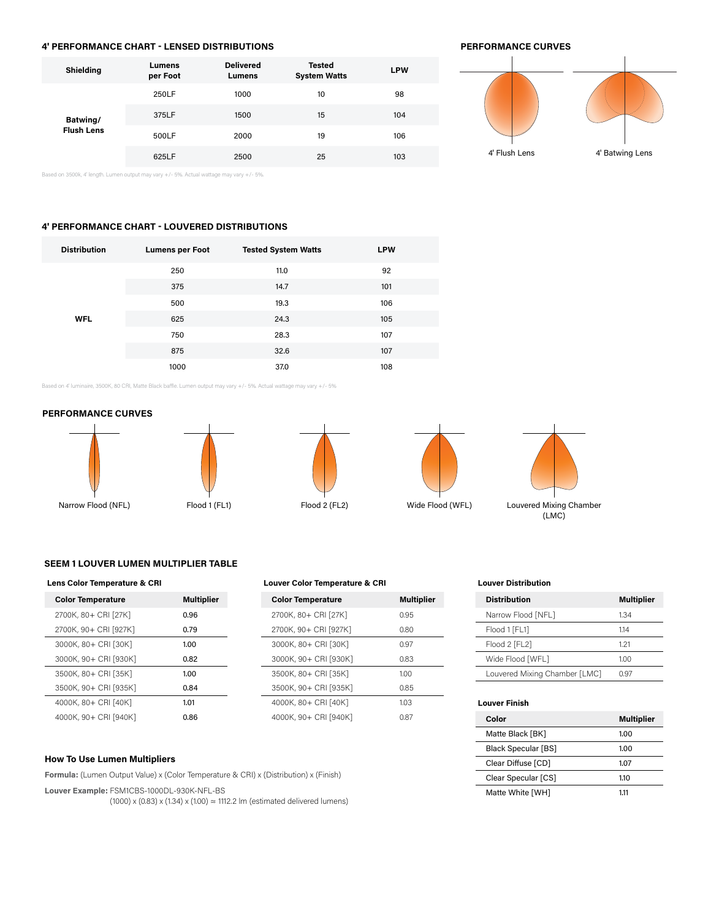# **4' PERFORMANCE CHART - LENSED DISTRIBUTIONS**

| <b>Shielding</b>  | <b>Lumens</b><br>per Foot | <b>Delivered</b><br><b>Lumens</b> | Tested<br><b>System Watts</b> | <b>LPW</b> |
|-------------------|---------------------------|-----------------------------------|-------------------------------|------------|
|                   | 250LF                     | 1000                              | 10                            | 98         |
| Batwing/          | 375LF                     | 1500                              | 15                            | 104        |
| <b>Flush Lens</b> | 500LF                     | 2000                              | 19                            | 106        |
|                   | 625LF                     | 2500                              | 25                            | 103        |

**PERFORMANCE CURVES**



Based on 3500k, 4' length. Lumen output may vary +/- 5%. Actual wattage may vary +/- 5%.

# **4' PERFORMANCE CHART - LOUVERED DISTRIBUTIONS**

| <b>Distribution</b> | <b>Lumens per Foot</b> | <b>Tested System Watts</b> | <b>LPW</b> |
|---------------------|------------------------|----------------------------|------------|
| <b>WFL</b>          | 250                    | 11.0                       | 92         |
|                     | 375                    | 14.7                       | 101        |
|                     | 500                    | 19.3                       | 106        |
|                     | 625                    | 24.3                       | 105        |
|                     | 750                    | 28.3                       | 107        |
|                     | 875                    | 32.6                       | 107        |
|                     | 1000                   | 37.0                       | 108        |

Based on 4' luminaire, 3500K, 80 CRI, Matte Black baffle. Lumen output may vary +/- 5%. Actual wattage may vary +/- 5%

**PERFORMANCE CURVES**











# **SEEM 1 LOUVER LUMEN MULTIPLIER TABLE**

## **Lens Color Temperature & CRI**

| <b>Color Temperature</b> | <b>Multiplier</b> |
|--------------------------|-------------------|
| 2700K, 80+ CRI [27K]     | 0.96              |
| 2700K, 90+ CRI [927K]    | 0.79              |
| 3000K, 80+ CRI [30K]     | 1.00              |
| 3000K, 90+ CRI [930K]    | 0.82              |
| 3500K, 80+ CRI [35K]     | 1.00              |
| 3500K, 90+ CRI [935K]    | 0.84              |
| 4000K, 80+ CRI [40K]     | 1.01              |
| 4000K, 90+ CRI [940K]    | 0.86              |

# **Louver Color Temperature & CRI**

| <b>Color Temperature</b> | <b>Multiplier</b> |
|--------------------------|-------------------|
| 2700K, 80+ CRI [27K]     | 0.95              |
| 2700K, 90+ CRI [927K]    | 0.80              |
| 3000K, 80+ CRI [30K]     | 0.97              |
| 3000K, 90+ CRI [930K]    | 0.83              |
| 3500K, 80+ CRI [35K]     | 1.00              |
| 3500K, 90+ CRI [935K]    | 0.85              |
| 4000K, 80+ CRI [40K]     | 1.03              |
| 4000K, 90+ CRI [940K]    | 0.87              |

## **Louver Distribution**

| <b>Distribution</b>           | <b>Multiplier</b> |
|-------------------------------|-------------------|
| Narrow Flood [NFL]            | 1.34              |
| Flood 1 [FL1]                 | 114               |
| Flood 2 [FL2]                 | 1.21              |
| Wide Flood [WFL]              | 1.00              |
| Louvered Mixing Chamber [LMC] | 0.97              |

# **Louver Finish**

| Color                      | <b>Multiplier</b> |
|----------------------------|-------------------|
| Matte Black [BK]           | 1.00              |
| <b>Black Specular [BS]</b> | 1.00              |
| Clear Diffuse [CD]         | 1.07              |
| Clear Specular [CS]        | 110               |
| Matte White [WH]           | 111               |

# **How To Use Lumen Multipliers**

**Formula:** (Lumen Output Value) x (Color Temperature & CRI) x (Distribution) x (Finish)

**Louver Example:** FSM1CBS-1000DL-930K-NFL-BS

(1000) x (0.83) x (1.34) x (1.00) ≈ 1112.2 lm (estimated delivered lumens)